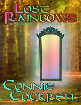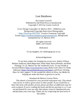# Lost Rainbows

By Connie Cockrell Published by 2nd Wind Press at Smashwords Copyright © 2015 by Connie Cockrell

Cover Design Copyright J.A. Marlow 2015 - JAMarlow.com Background Copyright Innervision Photographia - <https://flic.kr/ps/2NVTGH>. Creative Commons Copyright license [https://creativecommons.org/licenses/by/2.0/.](https://creativecommons.org/licenses/by/2.0/) Background manipulated by J.A. Marlow 2014

> All rights reserved. ISBN: 1507725256

> > Dedication

To my daughter, for challenging me to try.

Acknowledgements

To my beta readers for keeping my on my toes: Audrey Wilson, Barbara Anderson, Beth Magerman, Diane Nash, Karen Heineke, and Ruth Fleming. To J.A. Marlow for the wonderful cover. To my friends at Forward Motion ([http://www.fmwriters.com](http://www.fmwriters.com/)), Holly Lisle's How To Think Sideways ([https://howtothinksideways.com/login/\)](https://howtothinksideways.com/login/), and Power Writing Hour for their support. To the wonderful editors at Silver Jay Media for helping me make this book as good as it can be.

Smashwords Edition, License Notes

This ebook is licensed for your personal enjoyment only. This ebook may not be re-sold or given away to other people. If you would like to share this book with another person, please purchase an additional copy for each recipient. If you're reading this book and did not purchase it, or it was not purchased for your use only, then please return to Smashwords.com and purchase your own copy. Thank you for respecting the hard work of this author.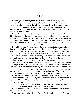# Theft

It was a typical evening in the court of the Leprechaun King, Mac Shadenan. The throne room was full. Harpists, drummers, flautists and horn players were halfway down the left wall from the King. The center of the hall's polished wood floor was filled with dancers. Shamus O'Malley was standing on the right side of the hall near the buffet table, a silver goblet of Irish Whisky in his hand.

Dressed in his court best, he tugged at the collar of his lemon-yellow shirt. Like most of the male leprechauns present, he had on his cherry-red wool weskit and frock coat with seven rows of seven buttons. It was annoying to button all forty-nine buttons but luck was luck. He didn't want to push any away. His pantaloons and stockings were white and his brogans were black leather and as shiny as his polishing could make them.

He had his eye on Princess Lyeen. She was dancing in the middle of the floor with that half-wit Banar Donovan. Shamus sipped his drink. Banar, he snorted to himself. More like banal, and boring to boot. Lyeen wouldn't be givin' him a second look if it weren't for the five rainbows with their pots of gold at the end that he owned. He put the goblet he was holding down on the table and began to edge his way into the dancers. As soon as the music for this dance stopped, he was going to ask the Princess to dance.

She was a vision. Like most leprechauns, a smattering of freckles crossed the bridge of her nose, accenting the creamy, smooth skin of her complexion. Merry blue eyes flashed with her laughter. Best of all though, to Shamus, was her hair. His own could be best described as orange. But hers, left unbound as was customary among unmarried maids, hung to her waist. The burnished gold highlights in her dark red hair set off the gold of the dainty, diamondencrusted crown around her forehead that held her hair back from her face. She'd chosen to wear green today, setting her apart from the traditionalists in the court. When she'd come into the room earlier in the evening, she'd set their tongues wagging.

"She's not wearing the traditional red!" one old biddy whispered loud enough for the people on the other side of the hall to hear.

Her neighbor nodded. "What are young people coming to?" she lamented. "Defiance, that's what it is."

That's what Shamus loved about Lyeen. She had spirit and flair. Too bad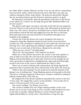her father didn't consider Shamus's worthy. True, he was tall for a leprechaun, four foot three inches, which worked in his favor. But there was only one rainbow among his whole, large family. The gold was spread thin. Despite that, he was determined to get the Princess's attention, gold or no gold.

He had nearly reached her when the guardsmen at the door to the throne room called out, "Courier for the King, the great Mac Shadenan! Make way for the Courier!"

The dancers split apart, moving to each side of the hall. He was separated from the Princess as she moved to the other side. Reluctantly he backed up to make way. The courier, dressed in woodland colors to better blend into the environment, entered the hall and staggered across the floor to the king. Dirty and road weary, the man looked as if he had been through every bramble in the kingdom.

Twenty feet from the throne, the courier dropped to his knees in exhaustion. King Mac Shadenan leaned forward on the carved, backless wooden seat. The red pillows could barely be seen under the red wool cloak the king wore, with a gold harp pin holding it together at his shoulder. His advisors, two on each side of the throne, whispered to each other.

"What say you, courier?" the King asked.

"My Lord," the man gasped. "The rainbows are gone!"

While one of the advisors hurried to the courier's side with a goblet of wine to help revive him, the court burst into loud cries and lamentations. Shamus noticed that Banar grew quite pale. Princess Lyeen, though, he saw with a great deal of admiration, straightened her spine and, head held high, strode to the front of the room to stand beside her father's chair.

There was so much confusion and consternation, the King signaled the guard near him to pound on the floor with the butt of his spear. He stood up.

"What is this caterwauling? You all sound worse than the animals in the humans' zoo at feeding time." King Shadenan glared at the people in the hall. The horror of being compared to those poor creatures confined in unnatural habitats stunned them. They shut up.

He stepped off of the throne's platform and pulled the courier to his feet. "Come, man." He clapped the courier on the shoulder. "You've had a bit of wine to refresh yourself. Tell us your news."

The courier nodded. "I'm Draum, son of Fitz."

The courtiers nodded. Fitz was a high-ranking member of the court. Draum was in service to the King, as every courtier's able-bodied sons were at one time or another. Shamus had been a courier himself upon his eighteenth birthday for twenty years. That had been a long time ago.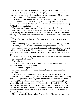"Sire, the treasury was robbed. All of the guards are dead. I don't know how I escaped the explosion but something large and ferocious chased me nearly all the way here." He looked down at his appearance. "My apologies, Sire, for appearing before you in such a state."

The King clapped him on the shoulder. "No need to apologize, young Draum." He motioned for one of the guards standing near the throne to come to him. "Take Draun to the baths. Get him food and drink and fresh clothing. We'll talk to him again in two hours."

The guard led Draum away through a side-door of the hall near the throne. The courtiers refilled the hall and whispered to each other. Shamus began edging his way to the front of the room. The Advisors had surrounded the King. As he neared he could hear a furious discussion going on between them.

"Sire," the eldest Advisor said, "we need to send guards to assess the damage."

"Yes," said the youngest. "How do we know if Draum is telling the truth?" "Majesty, we should send someone to bring back the rainbows."

The King stood still in the rain of comments and suggestions, nodding at each person as they spoke. Shamus moved up to stand directly behind the King. When the suggestions died down, the Advisors waited for the King to speak.

"We will send an investigator," the King announced. "Someone from our court, someone trustworthy."

They all nodded.

"But who?" the eldest Advisor asked. "Perhaps the savage beast that chased Draum is still lurking about."

"I'll go," Shamus piped up.

The entire group turned to stare. Shamus began to blush under the inspection.

The King nodded. "It's dangerous, you know. The beast may still be outside the sidhe." Their villages, the sidhe, pronounced shee, were hidden by magic. The leprechauns had long separated themselves from the world of men. King Mac Shadenan ruled all the sidhe of the leprechaun kingdom, scattered far and wide across the men's countries of Ireland, Scotland, Wales and England. The leprechauns kept track of the world of men but since the loss of their gods, the Tuatha De Danann many centuries ago, they had no choice but to hide. It was safer to stay in their hidden kingdom, and they flourished in their own way.

Shamus breathed a sigh of relief. As a courier, he'd always gotten along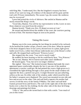with King Mac. "I understand, Sire. But the kingdom's treasury has been stolen. If we wait too long, all evidence of the dastard will be gone and the trail cold. I'll leave immediately. The sooner I go, the sooner the rainbows may be recovered."

Lyeen had joined the circle of Advisors. She smiled at Shamus and he nearly missed the King's words.

"Good idea, Shamus. You will be my representative in this. Leave at once. Draw whatever you need from the armory."

Shamus bowed. "Thank you, Sire. I'll depart as soon as I can."

He turned and hustled down the middle of the court, the courtiers parting in front of him. The murmurs began as soon as he passed.

## Taking His Leave

Shamus was in his room, putting the last things he needed in his rucksack. As he buckled the leather straps, a knock came at his door. When he opened it his heart skipped a beat. It was Lyeen, dressed now in a plain, light-green lambs-wool frock, a white linen blouse underneath, lace at the blouse's collar and cuffs. He stepped back and bowed. "Princess Lyeen."

She stepped into the room. "I see you're nearly ready."

He nodded, his heart beating so fast he could barely hear. "Yes, Princess." "Be at ease, Shamus. We've known each other since childhood."

He bowed again. "True, but we're no longer children."

She sighed. "Also true." She looked around. Shamus had made the courtappointed space comfortable, despite the fact it was one of the smallest apartments a courtier could get. He had painted the room a light green so it resembled the light drifting through a clear pond. On the small window-sill opposite the door, a potted rose grew. A single blossom was just unfurling, yellow as the sun. On either side of the window, under which stood his bed, his father's weapons were displayed. The sword was mounted on one side and bow and arrows on the other. One end wall held a tapestry his mother had woven. It told the story of the family O'Malley. The other end wall held framed, pressed ferns and flowers. The wall on the right side of the door held hooks over a chest for his clothing. On the other side of the door he'd hung drawings and paintings he'd done.

"I like it," she said as she turned back to him with a smile. "I see much of you in this room."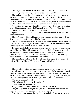"Thank you." He moved to the bed where the rucksack lay. "I leave as soon as I stop by the armory. I want to get a better sword."

She looked at him. His shirt was the color of lichen, a blend of grey, green and olive. His jacket and pantaloons were sage green as was the widebrimmed hat, lain on the bed beside the rucksack. An overcoat also lay on the bed. It was the traditional coarse wool, curly side out, to be worn in inclement weather. "You don't like your sword? Isn't that your father's sword?"

"It is Father's sword, but I don't like it for this task. The magic in it is too weak. If I'm to pursue thieves bold enough to steal from the King, I need a more powerful weapon. Father will understand."

Lyeen nodded. "Of course." She paused and looked him in the eye. "I have something for you."

Shamus's heart, which had begun to slow its rapid beating, sped back up. He repressed the desire to wipe his forehead.

She pulled a pale green silk kerchief, sheer as gossamer, from the bosom of her dress. "This is for you, for luck." She smiled as she tied the kerchief to his left upper arm. "May it bring you home safely."

He could hardly believe his luck. They'd always gotten along as children and she'd treated him with kindness and respect during his time as a courier. But this was more than he could have hoped for. Maidens, especially princesses, didn't give their kerchiefs away lightly. "Th…Thank you, my lady." He bowed low to hide the blush on his face.

She turned and walked to the door. He heard her open it, and he stood upright. She bowed back. "Good luck, Shamus O'Malley."

#

Shamus left his father's sword in his apartment and procured a more powerful sword from the armory. His kind used swords for war and as magic wands. He was sure the thief had used powerful magic to steal the rainbows and wanted to be ready with a weapon capable of fighting back. The King met him in the courtyard where flickering torches lit the cobbled space.

"Majesty." Shamus bowed.

"Rise, Shamus. I want to wish you luck."

"I appreciate the blessing, Sire."

King Shadenan looked around the courtyard. "No horse?"

"No, Sire. I plan on taking the magical roads. I can move faster and the magic used to move the gold will be more apparent."

The King clapped him on the shoulder. "Good plan. I can see my trust in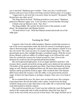you is merited." Shadenan grew somber. "Take care, boy. I would send a platoon with you if any of those sniveling courtiers had an ounce of courage."

"I appreciate it, my lord, but I can move faster by myself." He paused. "Did Draum have any other news?"

The King shook his head. "Nothing pertinent to your quest." Shadenan glanced at Shamus's upper arm. "I see you have received another blessing."

A blush crept up Shamus's neck. "Aye, Sire."

The King nodded. "Be careful. We don't know if the monster is still about." He stepped back and Shamus bowed.

"I'll send word if I can." With that Shamus turned and strode out of the sidhe gate.

#### Tracking the Thief

A quarter mile from the sidhe boundary, Shamus reached the entrance to one of the secret leprechaun roads. He drew his sword. It would glow green when it detected magic along the road and for a short distance outside of it in the real world. The road was more of a tunnel than anything else. The walls glowed pale green, like sunlight through a woodland canopy. With the sword drawn, Shamus could see eddies of residual magic as he followed the road. Once he reached the treasury he looked around for clues. Even in the darkness he could see the torn ground and broken bushes.

His sword glowed bright green. A lot of magic had been used here. The treasury doors, usually secured by strong spells, were shattered into splinters. The bodies of the guards sprawled near them. They'd been blasted by strong magic as well. Shamus straightened them out. He knew these men and their families and he ground his teeth in anger. Who would do this? The humans didn't know about the treasury. Like the sidhe, it was protected by ancient magic. It had to be leprechauns or perhaps a dragon. They were very fond of gold.

He re-examined the area. No, there were no burned areas. Not a dragon. Leprechaun then. He left the bodies with a salute. Guards from the King would be along soon to take them back to the sidhe. He re-entered the magic road, determined to find the culprits.

The road led toward the sea. Travel was fast within the road. He bypassed much of the countryside and, in what would have taken him four days of travel in the real world, was at an exit in four hours. The magic led him out of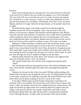the door.

Dawn was breaking when he emerged. He was at the bottom of a hill and as he faced it he could see the sun would soon appear over its left shoulder. The top of the hill was covered by the ruin of a castle. It wasn't uncommon for a road door to come out near a castle or castle ruins. Hundreds of years ago the leprechauns were friendlier with humans. Now there were too many humans and they no longer believed in leprechauns, so his people stayed out of sight.

He followed the magic trail along a newly hewn path through the brambles up the hill. He moved quietly. There was no need to alert the thieves to his presence. Shamus followed the trail through the ruins. Blocks from the internal walls had been restacked to clear a path. Noise reached him and he stopped to listen, back against the moss-covered granite. The noise was a high-pitched whine, not natural. Shamus moved forward slowly, sword held out in front of him, until he reached a corner. The noise was louder.

Machinery? What machinery would be here? He turned the corner, ready to defend himself. In a cleared space in front of him were several pots of gold. It was a man, human from the look of him, dressed in a long gray gown with a dark blue cloak, and a leather belt cinched it all at the man's waist. He was moving the pots by magic into the glass of a mirror with a wand. As each pot went through, the mirror flashed red light across the space.

Shamus shook himself out of his shock. The wizard, as he supposed the man was, lifted the last pot. You!" he shouted.

The wizard looked up at the call but never stopped moving the gold. "Stop!"

The wizard moved the pot through the mirror. He looked at Shamus once more, then slid the wand through his leather belt and stepped through the mirror.

Shamus ran forward as the whine increased. Without understanding why, Shamus knew he had to get through the mirror fast. He flung himself forward as the whine reached an ear-splitting crescendo. He tucked himself into a ball and rolled as he hit grass, leaping to his feet, sword at the ready.

It was dark. Shamus spun around, breath coming fast, expecting to be attacked. There was nothing. He lowered his sword. There was no sign of the mirror either. He slid the sword into his scabbard and took a deep breath. The night was broken by lights many feet overhead, placed at regular intervals along a wide paved road. He was outside a high stone wall with a metalgrilled gate ahead and to his right. He hurried to it and peeked around the corner through the gate. A large castle lay beyond, at the end of another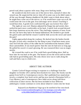paved road, about a quarter mile away. Dogs were barking inside.

He wondered why he'd come out of the mirror here, instead of where the wizard was. He suspected the mirror shut off in some way so he didn't make it all the way through. Shamus shuddered. He didn't want to think about where he might have come out of the mirror, or if he would have come out at all. He could sense the iron in the gate. Iron and magic never mixed. Touching it would burn him. A gentle kick confirmed the gate was locked. Now what?

The night air was cool. Shamus adjusted his floppy hat and weskit, then settled his pack more comfortably on his back. A quick look around showed him large mansions across the street. They had huge expanses of lawn. From the size, he knew they had to be human habitations. He needed to get inside the gated castle and find the wizard. Could he hide across the street and watch the gate?

Lights approached along the roadway. He ducked into the bushes beside the gate. It took only a moment for the thing to pass. It had been many years since he'd left the safety of the sidhe but he remembered the humans called those automobiles. It was much quieter than the ones he had seen so long ago. He pulled his sword--it wasn't glowing. He was reassured there was no magic nearby.

He crossed the road to see if he could find a good hiding place. Half an hour later he was back at the gate. The houses across the street and on either side had no good hiding spots. His only choice now was to walk along the wall and find a way to climb over.

## ABOUT THE AUTHOR

Connie Cockrell began writing in response to a challenge from her daughter in October 2011 and has been hooked ever since. Her books run the gamut from SciFi to Contemporary stories. She's published two stand alone novels, a complete four book series and has now started a Dystopian SciFi, a Cozy Mystery, and a Contemporary New Adult series along with three collections of short stories. She has been included in four different anthologies. Connie continues to write about whatever comes into her head.

> Enjoyed Lost Rainbows? Sign up to be notified of her next book [http://conniesrandomthoughts.us7.list-manage.com/subscribe?](http://conniesrandomthoughts.us7.list-manage.com/subscribe?u=8c24bb15bdf9245512f722298&id=0a097feea0) u=8c24bb15bdf9245512f722298&id=0a097feea0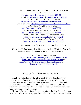Discover other titles by Connie Cockrell at Smashwords.com: A Trio of Animal Tales at <https://www.smashwords.com/books/view/287453> Recall: <https://www.smashwords.com/books/view/320233> Halloween Tales: A Collection of Stories: <https://www.smashwords.com/books/view/359689> Christmas Tales: <https://www.smashwords.com/books/view/379010> A New Start: A Gulliver Station Story: <http://www.smashwords.com/books/view/403971> The Challenge: Book 2 of the Gulliver Station Story: <http://www.smashwords.com/books/view/421755> Hard Choices: Book 3 of the Gulliver Station Story: <http://www.smashwords.com/books/view/439286> First Encounters: Book 1 of the Brown Rain Series <https://www.smashwords.com/books/view/472684>

Her books are available in print at most online retailers.

Her next published book will be Mystery at the Fair. This is the first of the Jean Hays series of cozy mysteries See the excerpt below.

> If you'd like to know more, go to <https://www.smashwords.com/profile/view/conniecockrell> <http://www.conniesrandomthoughts.wordpress.com> or [https://www.facebook.com/ConniesRandomThoughts](https://www.facebook.com/ConniesRandomThoughts%20) or [http://twitter.com/conniecockrell.](http://twitter.com/conniecockrell)

# Excerpt from Mystery at the Fair

Jean Hays trudged across the fair grounds. Sweat dripped down her temples. The sun beat down out of a cornflower blue sky while end of the monsoon season thunderheads built up into towering blinding white and ominous portents of future rain. Wish I'd remembered my hat, was her thought. That's what I get. March seemed so pleasant. Who knew September would mimic an oven with misters.

She reached the first of two shipping containers the Hise County Fair used as storage lockers. Rain every year for the fair, she remembered the Exhibits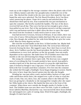team say as she trudged to the storage container where the plastic tubs of left over ribbons, banners and other fair paraphernalia resided the rest of the year. She checked the clouds in the sky once more then wiped her face and hoped the units were unlocked. The Fair Board President, Arris Van Horn wasn't answering his phone. *I hope Arris came by and unlocked these. He should have them open by now*. Jean examined the two part mechanism to open the container. She briefly touched the handles. The face of the doors received full sun all day. They were hot but not hot enough to give a burn. Jean pulled on one lever. Part of the mechanism moved a rod that connected with a top and bottom notch but it didn't allow the door to open. She wiped the sweat from her forehead. *I really need to learn to wear a hat.*

Jean had moved to Greyson, Arizona in February. It was winter, there was even a bit of snow. Old northeastern habits died hard. She never used to wear a hat. Now though, she wished for her wide brim hiking hat to give her some relief. *Must be ninety degrees out here.*

She tried the second handle on the door. It lifted another bar. *Maybe both of them at the same time?* Jean lifted them both. The vertical bars lifted and lowered, freeing the door. She tugged it open. *Now I don't have to track Arris down.* Arris VanHorn was the fair board president. He had the keys and the combinations to every lock and door on the fair grounds. Jean was totally dependent on his expertise. She hadn't been VP of Exhibits more than four months so she was still learning how things worked in this county.

She swung the container doors open wide. The doorway was a tangled mess of everything the Fair Grounds needed to have stored. Jean pulled a wooden tripod out of the doorway and used it to prop the right hand door open. It looked as though it was a sign post. A lot of other events that were held at the Fair Grounds used these containers. Five feet into the container she wished she'd brought a flashlight. Sweat began dripping in earnest. Smells like mice in here, hope they haven't gotten into the tubs, she thought.

Winding her way past safety cones, stacked tables, buckets of rope, steel cable and broken metal chairs, she stepped over a pile of rebar to reach her stack of tubs. One, two, three, four, she counted, where's the fifth tub? The heat was giving her a headache so she massaged her temples after she wiped her filthy hands on her shorts. She hauled the bins out to the front of the container. When those were outside she thought, maybe it's farther to the back. The Exhibits team was sure there were five bins. A pile of cardboard boxes labeled, Mud Run, blocked her way. Jean moved the three boxes behind her and stepped over a pile of rusting chain. Wish I'd brought a flashlight, she thought. It's dark back here.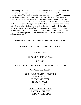Squinting, she saw a medium blue tub labeled Fair Ribbons four feet away on top of another stack of bins. *There you are.* She wiped her face again and held her breath. The smell of dead things was over whelming. *I hope nothing crawled into my bin. The ribbons will be ruined.* She picked her way past boxes, rusting metal things she couldn't identify and a broken ladder. She pulled the tilted bin toward her and the pile of bins it was on fell over. Her bin slid to the floor, taking part of her thumbnail with it and raising a cloud of dust. "Owww," she cried as she jerked her hand away and stuck the injured digit in her mouth. In front of her, the two doors of a metal cabinet against the right hand wall of the container creaked open and a desiccated human body fell in seeming slow motion on top of her bin. She shrieked and scrambled outside.

Mystery At The Fair is due out the end of March, 2015.

# OTHER BOOKS BY CONNIE COCKRELL

# THE BAD SEED

## TRIO OF ANIMAL TALES

## RECALL

## HALLOWEEN TALES: A COLLECTION OF STORIES

#### CHRISTMAS TALES

GULLIVER STATION STORIES A NEW START THE CHALLENGE HARD CHOICES REVOLUTION

> BROWN RAIN SERIES FIRST ENCOUNTER THE DOWNTRODDEN